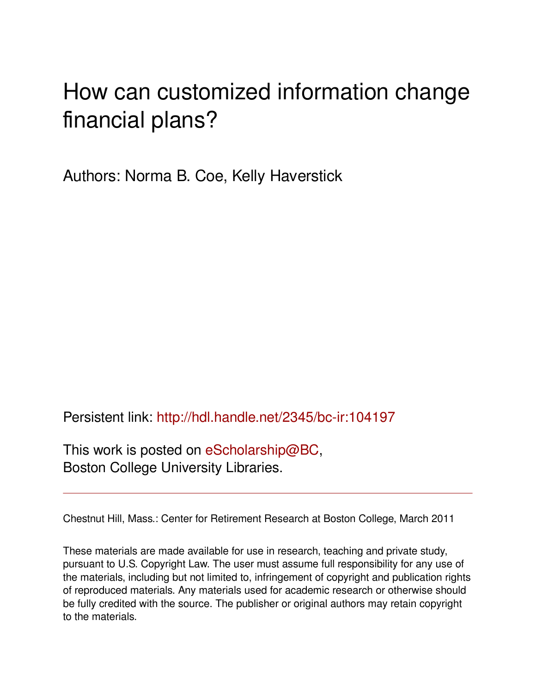## How can customized information change financial plans?

Authors: Norma B. Coe, Kelly Haverstick

Persistent link: <http://hdl.handle.net/2345/bc-ir:104197>

This work is posted on [eScholarship@BC](http://escholarship.bc.edu), Boston College University Libraries.

Chestnut Hill, Mass.: Center for Retirement Research at Boston College, March 2011

These materials are made available for use in research, teaching and private study, pursuant to U.S. Copyright Law. The user must assume full responsibility for any use of the materials, including but not limited to, infringement of copyright and publication rights of reproduced materials. Any materials used for academic research or otherwise should be fully credited with the source. The publisher or original authors may retain copyright to the materials.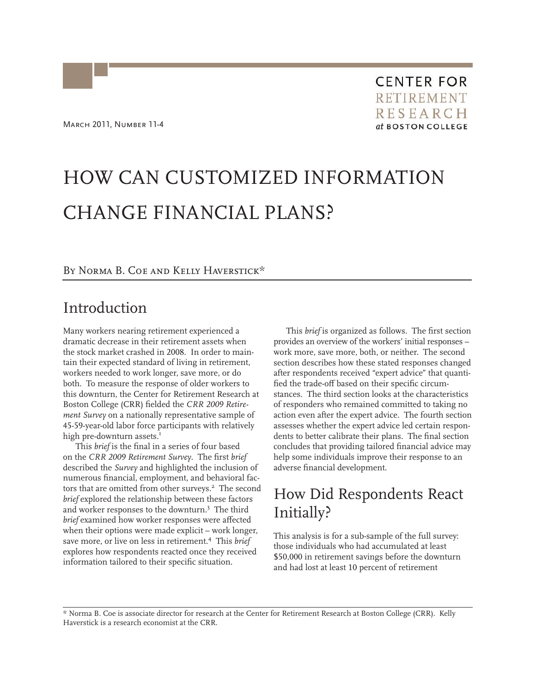# HOW CAN CUSTOMIZED INFORMATION CHANGE FINANCIAL PLANS?

BY NORMA B. COE AND KELLY HAVERSTICK\*

#### Introduction

Many workers nearing retirement experienced a dramatic decrease in their retirement assets when the stock market crashed in 2008. In order to maintain their expected standard of living in retirement, workers needed to work longer, save more, or do both. To measure the response of older workers to this downturn, the Center for Retirement Research at Boston College (CRR) fielded the *CRR 2009 Retirement Survey* on a nationally representative sample of 45-59-year-old labor force participants with relatively high pre-downturn assets.<sup>1</sup>

This *brief* is the final in a series of four based on the *CRR 2009 Retirement Survey*. The first *brief* described the *Survey* and highlighted the inclusion of numerous financial, employment, and behavioral factors that are omitted from other surveys.<sup>2</sup> The second *brief* explored the relationship between these factors and worker responses to the downturn.<sup>3</sup> The third *brief* examined how worker responses were affected when their options were made explicit – work longer, save more, or live on less in retirement.<sup>4</sup> This *brief* explores how respondents reacted once they received information tailored to their specific situation.

This *brief* is organized as follows. The first section provides an overview of the workers' initial responses – work more, save more, both, or neither. The second section describes how these stated responses changed after respondents received "expert advice" that quantified the trade-off based on their specific circumstances. The third section looks at the characteristics of responders who remained committed to taking no action even after the expert advice. The fourth section assesses whether the expert advice led certain respondents to better calibrate their plans. The final section concludes that providing tailored financial advice may help some individuals improve their response to an adverse financial development.

## How Did Respondents React Initially?

This analysis is for a sub-sample of the full survey: those individuals who had accumulated at least \$50,000 in retirement savings before the downturn and had lost at least 10 percent of retirement

\* Norma B. Coe is associate director for research at the Center for Retirement Research at Boston College (CRR). Kelly Haverstick is a research economist at the CRR.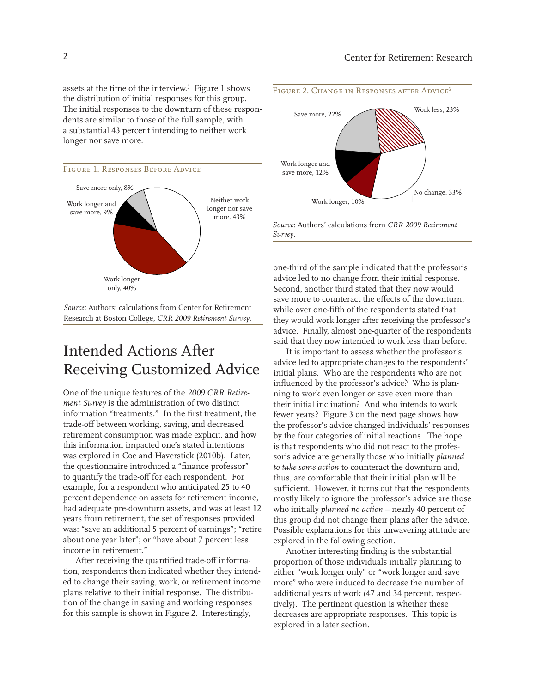assets at the time of the interview.<sup>5</sup> Figure 1 shows the distribution of initial responses for this group. The initial responses to the downturn of these respondents are similar to those of the full sample, with a substantial 43 percent intending to neither work longer nor save more.





*Source:* Authors' calculations from Center for Retirement Research at Boston College, *CRR 2009 Retirement Survey*.

## Intended Actions After Receiving Customized Advice

One of the unique features of the *2009 CRR Retirement Survey* is the administration of two distinct information "treatments." In the first treatment, the trade-off between working, saving, and decreased retirement consumption was made explicit, and how this information impacted one's stated intentions was explored in Coe and Haverstick (2010b). Later, the questionnaire introduced a "finance professor" to quantify the trade-off for each respondent. For example, for a respondent who anticipated 25 to 40 percent dependence on assets for retirement income, had adequate pre-downturn assets, and was at least 12 years from retirement, the set of responses provided was: "save an additional 5 percent of earnings"; "retire about one year later"; or "have about 7 percent less income in retirement."

After receiving the quantified trade-off information, respondents then indicated whether they intended to change their saving, work, or retirement income plans relative to their initial response. The distribution of the change in saving and working responses for this sample is shown in Figure 2. Interestingly,



*Source*: Authors' calculations from *CRR 2009 Retirement Survey*.

one-third of the sample indicated that the professor's advice led to no change from their initial response. Second, another third stated that they now would save more to counteract the effects of the downturn, while over one-fifth of the respondents stated that they would work longer after receiving the professor's advice. Finally, almost one-quarter of the respondents said that they now intended to work less than before.

It is important to assess whether the professor's advice led to appropriate changes to the respondents' initial plans. Who are the respondents who are not influenced by the professor's advice? Who is planning to work even longer or save even more than their initial inclination? And who intends to work fewer years? Figure 3 on the next page shows how the professor's advice changed individuals' responses by the four categories of initial reactions. The hope is that respondents who did not react to the professor's advice are generally those who initially *planned to take some action* to counteract the downturn and, thus, are comfortable that their initial plan will be sufficient. However, it turns out that the respondents mostly likely to ignore the professor's advice are those who initially *planned no action* – nearly 40 percent of this group did not change their plans after the advice. Possible explanations for this unwavering attitude are explored in the following section.

Another interesting finding is the substantial proportion of those individuals initially planning to either "work longer only" or "work longer and save more" who were induced to decrease the number of additional years of work (47 and 34 percent, respectively). The pertinent question is whether these decreases are appropriate responses. This topic is explored in a later section.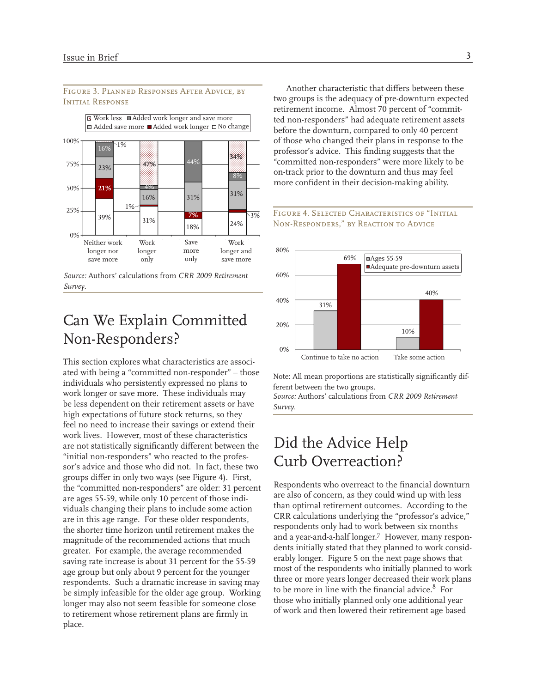#### Figure 3. Planned Responses After Advice, by INITIAL RESPONSE



*Source:* Authors' calculations from *CRR 2009 Retirement Survey*.

#### Can We Explain Committed Non-Responders?

This section explores what characteristics are associated with being a "committed non-responder" – those individuals who persistently expressed no plans to work longer or save more. These individuals may be less dependent on their retirement assets or have high expectations of future stock returns, so they feel no need to increase their savings or extend their work lives. However, most of these characteristics are not statistically significantly different between the "initial non-responders" who reacted to the professor's advice and those who did not. In fact, these two groups differ in only two ways (see Figure 4). First, the "committed non-responders" are older: 31 percent are ages 55-59, while only 10 percent of those individuals changing their plans to include some action are in this age range. For these older respondents, the shorter time horizon until retirement makes the magnitude of the recommended actions that much greater. For example, the average recommended saving rate increase is about 31 percent for the 55-59 age group but only about 9 percent for the younger respondents. Such a dramatic increase in saving may be simply infeasible for the older age group. Working longer may also not seem feasible for someone close to retirement whose retirement plans are firmly in place.

Another characteristic that differs between these two groups is the adequacy of pre-downturn expected retirement income. Almost 70 percent of "committed non-responders" had adequate retirement assets before the downturn, compared to only 40 percent of those who changed their plans in response to the professor's advice. This finding suggests that the "committed non-responders" were more likely to be on-track prior to the downturn and thus may feel more confident in their decision-making ability.





Note: All mean proportions are statistically significantly different between the two groups.

*Source:* Authors' calculations from *CRR 2009 Retirement Survey*.

## Did the Advice Help Curb Overreaction?

Respondents who overreact to the financial downturn are also of concern, as they could wind up with less than optimal retirement outcomes. According to the CRR calculations underlying the "professor's advice," respondents only had to work between six months and a year-and-a-half longer.<sup>7</sup> However, many respondents initially stated that they planned to work considerably longer. Figure 5 on the next page shows that most of the respondents who initially planned to work three or more years longer decreased their work plans to be more in line with the financial advice.<sup>8</sup> For those who initially planned only one additional year of work and then lowered their retirement age based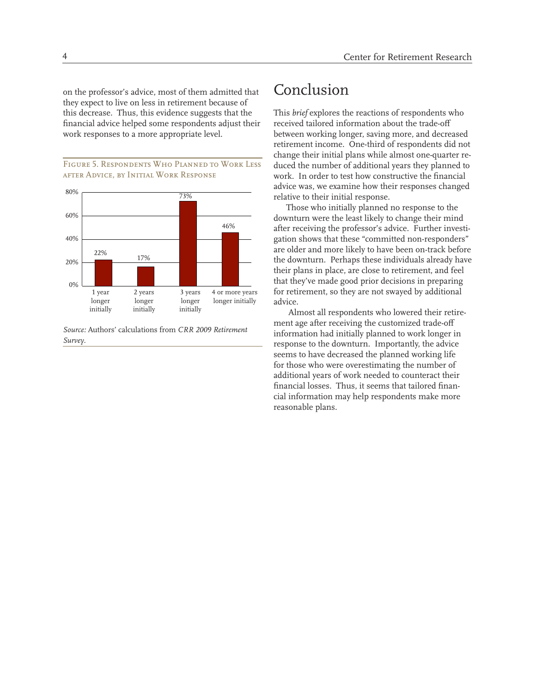on the professor's advice, most of them admitted that they expect to live on less in retirement because of this decrease. Thus, this evidence suggests that the financial advice helped some respondents adjust their work responses to a more appropriate level.

Figure 5. Respondents Who Planned to Work Less after Advice, by Initial Work Response



*Source:* Authors' calculations from *CRR 2009 Retirement Survey*.

#### Conclusion

This *brief* explores the reactions of respondents who received tailored information about the trade-off between working longer, saving more, and decreased retirement income. One-third of respondents did not change their initial plans while almost one-quarter reduced the number of additional years they planned to work. In order to test how constructive the financial advice was, we examine how their responses changed relative to their initial response.

Those who initially planned no response to the downturn were the least likely to change their mind after receiving the professor's advice. Further investigation shows that these "committed non-responders" are older and more likely to have been on-track before the downturn. Perhaps these individuals already have their plans in place, are close to retirement, and feel that they've made good prior decisions in preparing for retirement, so they are not swayed by additional advice.

 Almost all respondents who lowered their retirement age after receiving the customized trade-off information had initially planned to work longer in response to the downturn. Importantly, the advice seems to have decreased the planned working life for those who were overestimating the number of additional years of work needed to counteract their financial losses. Thus, it seems that tailored financial information may help respondents make more reasonable plans.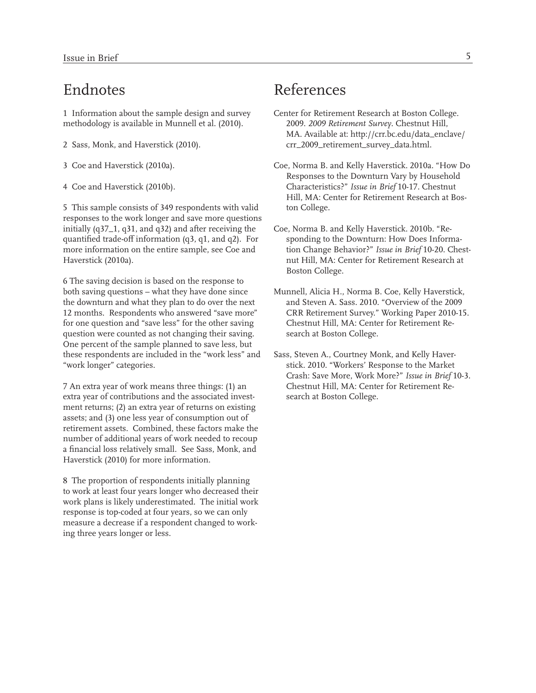#### Endnotes

1 Information about the sample design and survey methodology is available in Munnell et al. (2010).

- 2 Sass, Monk, and Haverstick (2010).
- 3 Coe and Haverstick (2010a).
- 4 Coe and Haverstick (2010b).

5 This sample consists of 349 respondents with valid responses to the work longer and save more questions initially (q37\_1, q31, and q32) and after receiving the quantified trade-off information (q3, q1, and q2). For more information on the entire sample, see Coe and Haverstick (2010a).

6 The saving decision is based on the response to both saving questions – what they have done since the downturn and what they plan to do over the next 12 months. Respondents who answered "save more" for one question and "save less" for the other saving question were counted as not changing their saving. One percent of the sample planned to save less, but these respondents are included in the "work less" and "work longer" categories.

7 An extra year of work means three things: (1) an extra year of contributions and the associated investment returns; (2) an extra year of returns on existing assets; and (3) one less year of consumption out of retirement assets. Combined, these factors make the number of additional years of work needed to recoup a financial loss relatively small. See Sass, Monk, and Haverstick (2010) for more information.

8 The proportion of respondents initially planning to work at least four years longer who decreased their work plans is likely underestimated. The initial work response is top-coded at four years, so we can only measure a decrease if a respondent changed to working three years longer or less.

## References

- Center for Retirement Research at Boston College. 2009. *2009 Retirement Survey*. Chestnut Hill, MA. Available at: http://crr.bc.edu/data\_enclave/ crr\_2009\_retirement\_survey\_data.html.
- Coe, Norma B. and Kelly Haverstick. 2010a. "How Do Responses to the Downturn Vary by Household Characteristics?" *Issue in Brief* 10-17. Chestnut Hill, MA: Center for Retirement Research at Boston College.
- Coe, Norma B. and Kelly Haverstick. 2010b. "Responding to the Downturn: How Does Information Change Behavior?" *Issue in Brief* 10-20. Chestnut Hill, MA: Center for Retirement Research at Boston College.
- Munnell, Alicia H., Norma B. Coe, Kelly Haverstick, and Steven A. Sass. 2010. "Overview of the 2009 CRR Retirement Survey." Working Paper 2010-15. Chestnut Hill, MA: Center for Retirement Research at Boston College.
- Sass, Steven A., Courtney Monk, and Kelly Haverstick. 2010. "Workers' Response to the Market Crash: Save More, Work More?" *Issue in Brief* 10-3. Chestnut Hill, MA: Center for Retirement Research at Boston College.